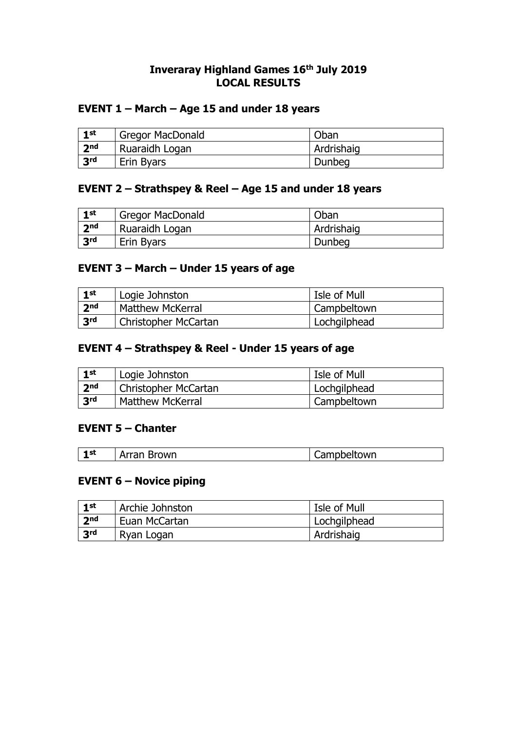## **Inveraray Highland Games 16th July 2019 LOCAL RESULTS**

### **EVENT 1 – March – Age 15 and under 18 years**

| $1$ st          | <b>Gregor MacDonald</b> | Oban       |
|-----------------|-------------------------|------------|
| 2 <sub>nd</sub> | Ruaraidh Logan          | Ardrishaig |
| 3 <sup>rd</sup> | Erin Byars              | Dunbeg     |

## **EVENT 2 – Strathspey & Reel – Age 15 and under 18 years**

| $1$ st          | <b>Gregor MacDonald</b> | Oban       |
|-----------------|-------------------------|------------|
| 2 <sub>nd</sub> | Ruaraidh Logan          | Ardrishaig |
| 3 <sup>rd</sup> | Erin Byars              | Dunbeg     |

## **EVENT 3 – March – Under 15 years of age**

| 1st             | Logie Johnston          | Isle of Mull |
|-----------------|-------------------------|--------------|
| 2 <sub>nd</sub> | <b>Matthew McKerral</b> | Campbeltown  |
| 3 <sup>rd</sup> | Christopher McCartan    | Lochgilphead |

#### **EVENT 4 – Strathspey & Reel - Under 15 years of age**

| $\blacksquare$  | Logie Johnston          | Isle of Mull |
|-----------------|-------------------------|--------------|
| 2 <sub>nd</sub> | Christopher McCartan    | Lochgilphead |
| 3rd             | <b>Matthew McKerral</b> | Campbeltown  |

#### **EVENT 5 – Chanter**

| - 1 st | <b>Brown</b><br>Arran | Campbeltown |
|--------|-----------------------|-------------|
|--------|-----------------------|-------------|

#### **EVENT 6 – Novice piping**

| 1st             | Archie Johnston | Isle of Mull |
|-----------------|-----------------|--------------|
| $ $ $2nd$       | Euan McCartan   | Lochgilphead |
| 3 <sup>rd</sup> | Ryan Logan      | Ardrishaig   |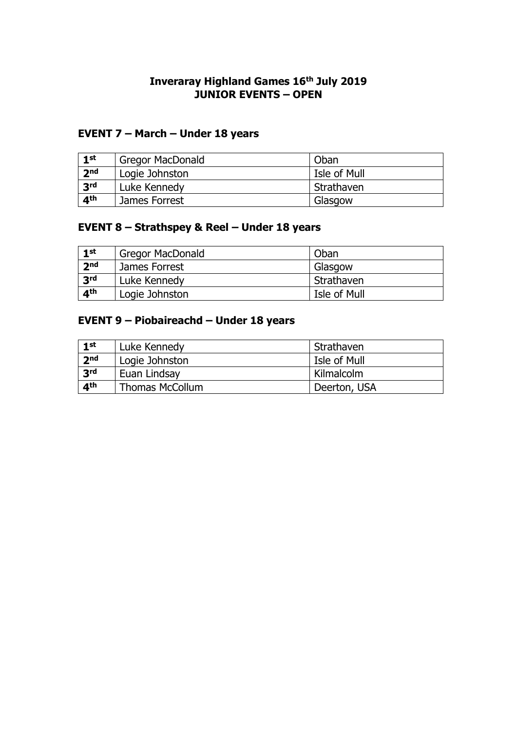### **Inveraray Highland Games 16th July 2019 JUNIOR EVENTS – OPEN**

# **EVENT 7 – March – Under 18 years**

| $1$ st          | <b>Gregor MacDonald</b> | Oban         |
|-----------------|-------------------------|--------------|
| 2 <sub>nd</sub> | Logie Johnston          | Isle of Mull |
| 3 <sup>rd</sup> | Luke Kennedy            | l Strathaven |
| 4 <sup>th</sup> | James Forrest           | Glasgow      |

# **EVENT 8 – Strathspey & Reel – Under 18 years**

| $1$ st          | <b>Gregor MacDonald</b> | Oban         |
|-----------------|-------------------------|--------------|
| 2 <sub>nd</sub> | James Forrest           | Glasgow      |
| 3 <sup>rd</sup> | Luke Kennedy            | Strathaven   |
| 4 <sup>th</sup> | Logie Johnston          | Isle of Mull |

## **EVENT 9 – Piobaireachd – Under 18 years**

| $1$ st          | Luke Kennedy           | l Strathaven |
|-----------------|------------------------|--------------|
| 2 <sub>nd</sub> | Logie Johnston         | Isle of Mull |
| 3 <sup>rd</sup> | Euan Lindsay           | Kilmalcolm   |
| $\mathbf{A}$ th | <b>Thomas McCollum</b> | Deerton, USA |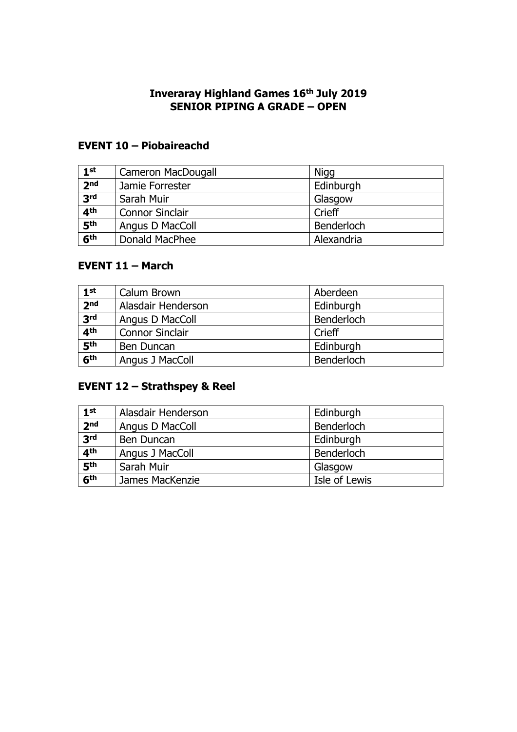### **Inveraray Highland Games 16th July 2019 SENIOR PIPING A GRADE – OPEN**

# **EVENT 10 – Piobaireachd**

| 1 <sup>st</sup> | Cameron MacDougall     | <b>Nigg</b> |
|-----------------|------------------------|-------------|
| 2 <sub>nd</sub> | Jamie Forrester        | Edinburgh   |
| 3 <sup>rd</sup> | Sarah Muir             | Glasgow     |
| 4 <sup>th</sup> | <b>Connor Sinclair</b> | Crieff      |
| 5 <sup>th</sup> | Angus D MacColl        | Benderloch  |
| 6 <sup>th</sup> | Donald MacPhee         | Alexandria  |

## **EVENT 11 – March**

| 1 <sup>st</sup> | Calum Brown            | Aberdeen   |
|-----------------|------------------------|------------|
| 2 <sub>nd</sub> | Alasdair Henderson     | Edinburgh  |
| 3 <sup>rd</sup> | Angus D MacColl        | Benderloch |
| 4 <sup>th</sup> | <b>Connor Sinclair</b> | Crieff     |
| 5 <sup>th</sup> | Ben Duncan             | Edinburgh  |
| 6 <sup>th</sup> | Angus J MacColl        | Benderloch |

# **EVENT 12 – Strathspey & Reel**

| 1 <sup>st</sup> | Alasdair Henderson | Edinburgh     |
|-----------------|--------------------|---------------|
| 2 <sub>nd</sub> | Angus D MacColl    | Benderloch    |
| 3 <sup>rd</sup> | Ben Duncan         | Edinburgh     |
| 4 <sup>th</sup> | Angus J MacColl    | Benderloch    |
| 5 <sup>th</sup> | Sarah Muir         | Glasgow       |
| 6 <sup>th</sup> | James MacKenzie    | Isle of Lewis |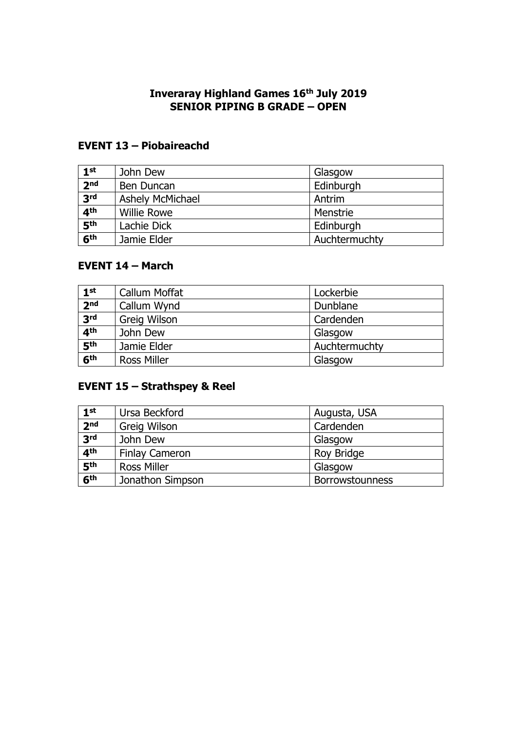### **Inveraray Highland Games 16th July 2019 SENIOR PIPING B GRADE – OPEN**

# **EVENT 13 – Piobaireachd**

| 1 <sup>st</sup> | John Dew                | Glasgow       |  |
|-----------------|-------------------------|---------------|--|
| 2 <sub>nd</sub> | Ben Duncan              | Edinburgh     |  |
| 3 <sup>rd</sup> | <b>Ashely McMichael</b> | Antrim        |  |
| 4 <sup>th</sup> | <b>Willie Rowe</b>      | Menstrie      |  |
| 5 <sup>th</sup> | Lachie Dick             | Edinburgh     |  |
| 6 <sup>th</sup> | Jamie Elder             | Auchtermuchty |  |

# **EVENT 14 – March**

| 1 <sup>st</sup> | Callum Moffat      | Lockerbie     |  |
|-----------------|--------------------|---------------|--|
| 2 <sub>nd</sub> | Callum Wynd        | Dunblane      |  |
| 3 <sup>rd</sup> | Greig Wilson       | Cardenden     |  |
| 4 <sup>th</sup> | John Dew           | Glasgow       |  |
| 5 <sup>th</sup> | Jamie Elder        | Auchtermuchty |  |
| 6 <sup>th</sup> | <b>Ross Miller</b> | Glasgow       |  |

# **EVENT 15 – Strathspey & Reel**

| 1 <sup>st</sup> | Ursa Beckford         | Augusta, USA           |  |
|-----------------|-----------------------|------------------------|--|
| 2 <sub>nd</sub> | Greig Wilson          | Cardenden              |  |
| 3 <sup>rd</sup> | John Dew              | Glasgow                |  |
| 4 <sup>th</sup> | <b>Finlay Cameron</b> | Roy Bridge             |  |
| 5 <sup>th</sup> | <b>Ross Miller</b>    | Glasgow                |  |
| 6 <sup>th</sup> | Jonathon Simpson      | <b>Borrowstounness</b> |  |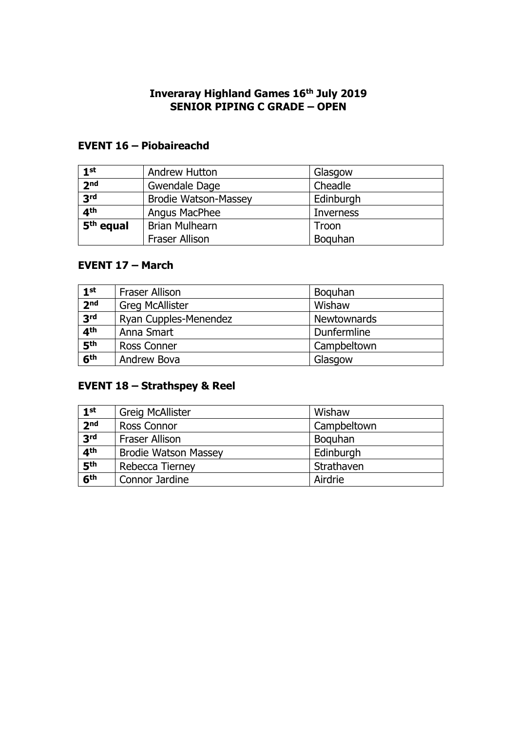### **Inveraray Highland Games 16th July 2019 SENIOR PIPING C GRADE – OPEN**

## **EVENT 16 – Piobaireachd**

| 1 <sup>st</sup>       | <b>Andrew Hutton</b>        | Glasgow   |
|-----------------------|-----------------------------|-----------|
| 2 <sub>nd</sub>       | Gwendale Dage               | Cheadle   |
| 3 <sup>rd</sup>       | <b>Brodie Watson-Massey</b> | Edinburgh |
| 4 <sup>th</sup>       | Angus MacPhee               | Inverness |
| 5 <sup>th</sup> equal | <b>Brian Mulhearn</b>       | Troon     |
|                       | <b>Fraser Allison</b>       | Boguhan   |

## **EVENT 17 – March**

| 1 <sup>st</sup> | <b>Fraser Allison</b>  | Boguhan            |
|-----------------|------------------------|--------------------|
| 2 <sub>nd</sub> | <b>Greg McAllister</b> | Wishaw             |
| 3 <sup>rd</sup> | Ryan Cupples-Menendez  | <b>Newtownards</b> |
| 4 <sup>th</sup> | Anna Smart             | Dunfermline        |
| 5 <sup>th</sup> | Ross Conner            | Campbeltown        |
| 6 <sup>th</sup> | Andrew Bova            | Glasgow            |

## **EVENT 18 – Strathspey & Reel**

| 1 <sup>st</sup> | <b>Greig McAllister</b>     | Wishaw      |
|-----------------|-----------------------------|-------------|
| 2 <sub>nd</sub> | Ross Connor                 | Campbeltown |
| 3 <sup>rd</sup> | <b>Fraser Allison</b>       | Boguhan     |
| 4 <sup>th</sup> | <b>Brodie Watson Massey</b> | Edinburgh   |
| 5 <sup>th</sup> | Rebecca Tierney             | Strathaven  |
| 6 <sup>th</sup> | Connor Jardine              | Airdrie     |